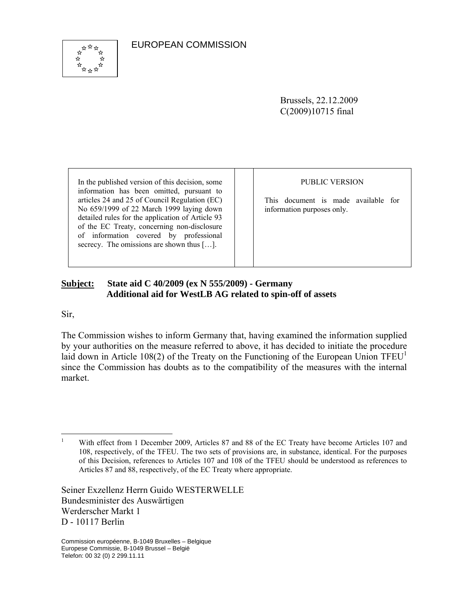EUROPEAN COMMISSION



Brussels, 22.12.2009 C(2009)10715 final

In the published version of this decision, some information has been omitted, pursuant to articles 24 and 25 of Council Regulation (EC) No 659/1999 of 22 March 1999 laying down detailed rules for the application of Article 93 of the EC Treaty, concerning non-disclosure of information covered by professional secrecy. The omissions are shown thus [...].

#### PUBLIC VERSION

This document is made available for information purposes only.

#### **Subject: State aid C 40/2009 (ex N 555/2009) - Germany Additional aid for WestLB AG related to spin-off of assets**

Sir,

The Commission wishes to inform Germany that, having examined the information supplied by your authorities on the measure referred to above, it has decided to initiate the procedure laid down in Article 108(2) of the Treaty on the Functioning of the European Union  $TFEU<sup>1</sup>$ since the Commission has doubts as to the compatibility of the measures with the internal market.

Seiner Exzellenz Herrn Guido WESTERWELLE Bundesminister des Auswärtigen Werderscher Markt 1 D - 10117 Berlin

 $\frac{1}{1}$  With effect from 1 December 2009, Articles 87 and 88 of the EC Treaty have become Articles 107 and 108, respectively, of the TFEU. The two sets of provisions are, in substance, identical. For the purposes of this Decision, references to Articles 107 and 108 of the TFEU should be understood as references to Articles 87 and 88, respectively, of the EC Treaty where appropriate.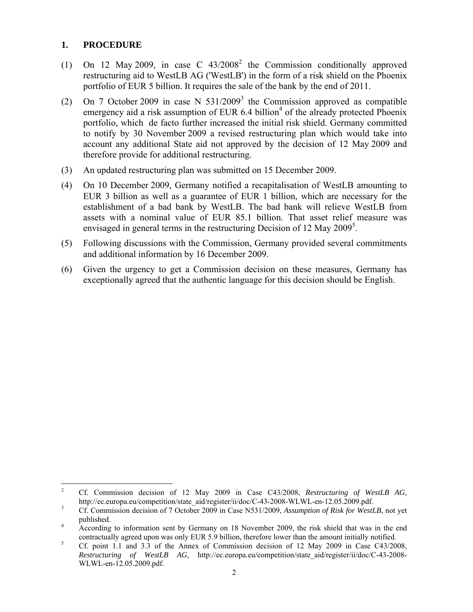### **1. PROCEDURE**

- (1) On 12 May 2009, in case C  $43/2008^2$  the Commission conditionally approved restructuring aid to WestLB AG ('WestLB') in the form of a risk shield on the Phoenix portfolio of EUR 5 billion. It requires the sale of the bank by the end of 2011.
- (2) On 7 October 2009 in case N  $531/2009<sup>3</sup>$  the Commission approved as compatible emergency aid a risk assumption of EUR  $6.4$  billion<sup>4</sup> of the already protected Phoenix portfolio, which de facto further increased the initial risk shield. Germany committed to notify by 30 November 2009 a revised restructuring plan which would take into account any additional State aid not approved by the decision of 12 May 2009 and therefore provide for additional restructuring.
- (3) An updated restructuring plan was submitted on 15 December 2009.
- (4) On 10 December 2009, Germany notified a recapitalisation of WestLB amounting to EUR 3 billion as well as a guarantee of EUR 1 billion, which are necessary for the establishment of a bad bank by WestLB. The bad bank will relieve WestLB from assets with a nominal value of EUR 85.1 billion. That asset relief measure was envisaged in general terms in the restructuring Decision of 12 May  $2009^5$ .
- (5) Following discussions with the Commission, Germany provided several commitments and additional information by 16 December 2009.
- (6) Given the urgency to get a Commission decision on these measures, Germany has exceptionally agreed that the authentic language for this decision should be English.

 $\frac{1}{2}$  Cf. Commission decision of 12 May 2009 in Case C43/2008, *Restructuring of WestLB AG*, http://ec.europa.eu/competition/state\_aid/register/ii/doc/C-43-2008-WLWL-en-12.05.2009.pdf.

Cf. Commission decision of 7 October 2009 in Case N531/2009, *Assumption of Risk for WestLB*, not yet published.

According to information sent by Germany on 18 November 2009, the risk shield that was in the end contractually agreed upon was only EUR 5.9 billion, therefore lower than the amount initially notified.

Cf. point 1.1 and 3.3 of the Annex of Commission decision of 12 May 2009 in Case C43/2008, *Restructuring of WestLB AG*, http://ec.europa.eu/competition/state\_aid/register/ii/doc/C-43-2008- WLWL-en-12.05.2009.pdf.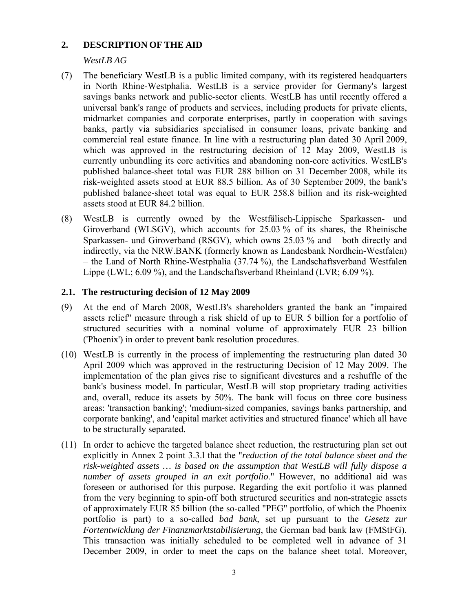### **2. DESCRIPTION OF THE AID**

# *WestLB AG*

- (7) The beneficiary WestLB is a public limited company, with its registered headquarters in North Rhine-Westphalia. WestLB is a service provider for Germany's largest savings banks network and public-sector clients. WestLB has until recently offered a universal bank's range of products and services, including products for private clients, midmarket companies and corporate enterprises, partly in cooperation with savings banks, partly via subsidiaries specialised in consumer loans, private banking and commercial real estate finance. In line with a restructuring plan dated 30 April 2009, which was approved in the restructuring decision of 12 May 2009, WestLB is currently unbundling its core activities and abandoning non-core activities. WestLB's published balance-sheet total was EUR 288 billion on 31 December 2008, while its risk-weighted assets stood at EUR 88.5 billion. As of 30 September 2009, the bank's published balance-sheet total was equal to EUR 258.8 billion and its risk-weighted assets stood at EUR 84.2 billion.
- (8) WestLB is currently owned by the Westfälisch-Lippische Sparkassen- und Giroverband (WLSGV), which accounts for 25.03 % of its shares, the Rheinische Sparkassen- und Giroverband (RSGV), which owns 25.03 % and – both directly and indirectly, via the NRW.BANK (formerly known as Landesbank Nordhein-Westfalen) – the Land of North Rhine-Westphalia (37.74 %), the Landschaftsverband Westfalen Lippe (LWL; 6.09 %), and the Landschaftsverband Rheinland (LVR; 6.09 %).

### **2.1. The restructuring decision of 12 May 2009**

- (9) At the end of March 2008, WestLB's shareholders granted the bank an "impaired assets relief" measure through a risk shield of up to EUR 5 billion for a portfolio of structured securities with a nominal volume of approximately EUR 23 billion ('Phoenix') in order to prevent bank resolution procedures.
- (10) WestLB is currently in the process of implementing the restructuring plan dated 30 April 2009 which was approved in the restructuring Decision of 12 May 2009. The implementation of the plan gives rise to significant divestures and a reshuffle of the bank's business model. In particular, WestLB will stop proprietary trading activities and, overall, reduce its assets by 50%. The bank will focus on three core business areas: 'transaction banking'; 'medium-sized companies, savings banks partnership, and corporate banking', and 'capital market activities and structured finance' which all have to be structurally separated.
- (11) In order to achieve the targeted balance sheet reduction, the restructuring plan set out explicitly in Annex 2 point 3.3.l that the "*reduction of the total balance sheet and the risk-weighted assets … is based on the assumption that WestLB will fully dispose a number of assets grouped in an exit portfolio*." However, no additional aid was foreseen or authorised for this purpose. Regarding the exit portfolio it was planned from the very beginning to spin-off both structured securities and non-strategic assets of approximately EUR 85 billion (the so-called "PEG" portfolio, of which the Phoenix portfolio is part) to a so-called *bad bank*, set up pursuant to the *Gesetz zur Fortentwicklung der Finanzmarktstabilisierung*, the German bad bank law (FMStFG). This transaction was initially scheduled to be completed well in advance of 31 December 2009, in order to meet the caps on the balance sheet total. Moreover,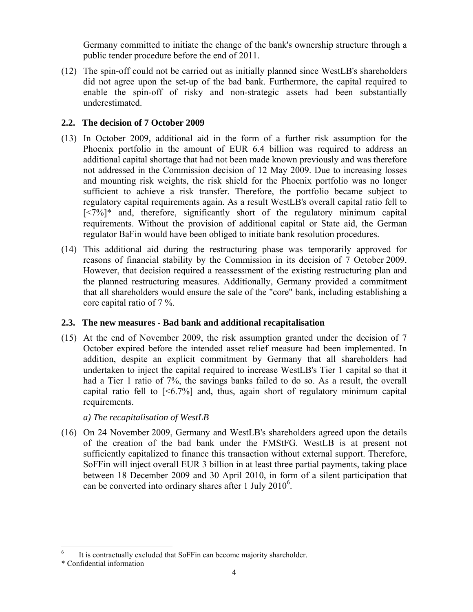Germany committed to initiate the change of the bank's ownership structure through a public tender procedure before the end of 2011.

(12) The spin-off could not be carried out as initially planned since WestLB's shareholders did not agree upon the set-up of the bad bank. Furthermore, the capital required to enable the spin-off of risky and non-strategic assets had been substantially underestimated.

# **2.2. The decision of 7 October 2009**

- (13) In October 2009, additional aid in the form of a further risk assumption for the Phoenix portfolio in the amount of EUR 6.4 billion was required to address an additional capital shortage that had not been made known previously and was therefore not addressed in the Commission decision of 12 May 2009. Due to increasing losses and mounting risk weights, the risk shield for the Phoenix portfolio was no longer sufficient to achieve a risk transfer. Therefore, the portfolio became subject to regulatory capital requirements again. As a result WestLB's overall capital ratio fell to  $[\langle 7\%]^{*}$  and, therefore, significantly short of the regulatory minimum capital requirements. Without the provision of additional capital or State aid, the German regulator BaFin would have been obliged to initiate bank resolution procedures.
- (14) This additional aid during the restructuring phase was temporarily approved for reasons of financial stability by the Commission in its decision of 7 October 2009. However, that decision required a reassessment of the existing restructuring plan and the planned restructuring measures. Additionally, Germany provided a commitment that all shareholders would ensure the sale of the "core" bank, including establishing a core capital ratio of 7 %.

# **2.3. The new measures - Bad bank and additional recapitalisation**

(15) At the end of November 2009, the risk assumption granted under the decision of 7 October expired before the intended asset relief measure had been implemented. In addition, despite an explicit commitment by Germany that all shareholders had undertaken to inject the capital required to increase WestLB's Tier 1 capital so that it had a Tier 1 ratio of 7%, the savings banks failed to do so. As a result, the overall capital ratio fell to  $\lceil 56.7\% \rceil$  and, thus, again short of regulatory minimum capital requirements.

# *a) The recapitalisation of WestLB*

(16) On 24 November 2009, Germany and WestLB's shareholders agreed upon the details of the creation of the bad bank under the FMStFG. WestLB is at present not sufficiently capitalized to finance this transaction without external support. Therefore, SoFFin will inject overall EUR 3 billion in at least three partial payments, taking place between 18 December 2009 and 30 April 2010, in form of a silent participation that can be converted into ordinary shares after 1 July 2010<sup>6</sup>.

 $\overline{a}$ 

<sup>6</sup> It is contractually excluded that SoFFin can become majority shareholder.

<sup>\*</sup> Confidential information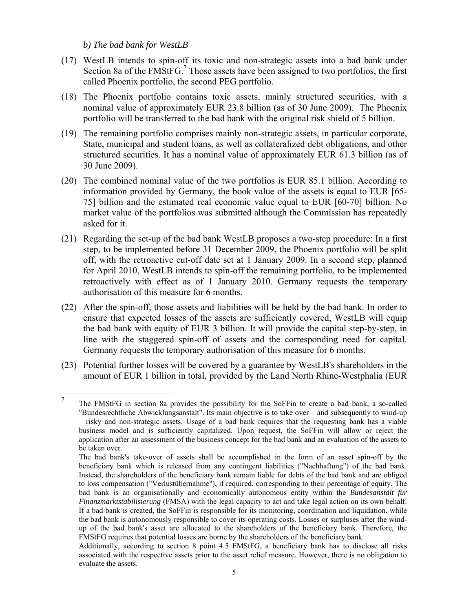*b) The bad bank for WestLB* 

- (17) WestLB intends to spin-off its toxic and non-strategic assets into a bad bank under Section 8a of the  $FMStFG$ .<sup>7</sup> Those assets have been assigned to two portfolios, the first called Phoenix portfolio, the second PEG portfolio.
- (18) The Phoenix portfolio contains toxic assets, mainly structured securities, with a nominal value of approximately EUR 23.8 billion (as of 30 June 2009). The Phoenix portfolio will be transferred to the bad bank with the original risk shield of 5 billion.
- (19) The remaining portfolio comprises mainly non-strategic assets, in particular corporate, State, municipal and student loans, as well as collateralized debt obligations, and other structured securities. It has a nominal value of approximately EUR 61.3 billion (as of 30 June 2009).
- (20) The combined nominal value of the two portfolios is EUR 85.1 billion. According to information provided by Germany, the book value of the assets is equal to EUR [65- 75] billion and the estimated real economic value equal to EUR [60-70] billion. No market value of the portfolios was submitted although the Commission has repeatedly asked for it.
- (21) Regarding the set-up of the bad bank WestLB proposes a two-step procedure: In a first step, to be implemented before 31 December 2009, the Phoenix portfolio will be split off, with the retroactive cut-off date set at 1 January 2009. In a second step, planned for April 2010, WestLB intends to spin-off the remaining portfolio, to be implemented retroactively with effect as of 1 January 2010. Germany requests the temporary authorisation of this measure for 6 months.
- (22) After the spin-off, those assets and liabilities will be held by the bad bank. In order to ensure that expected losses of the assets are sufficiently covered, WestLB will equip the bad bank with equity of EUR 3 billion. It will provide the capital step-by-step, in line with the staggered spin-off of assets and the corresponding need for capital. Germany requests the temporary authorisation of this measure for 6 months.
- (23) Potential further losses will be covered by a guarantee by WestLB's shareholders in the amount of EUR 1 billion in total, provided by the Land North Rhine-Westphalia (EUR

<sup>7</sup>  The FMStFG in section 8a provides the possibility for the SoFFin to create a bad bank, a so-called "Bundesrechtliche Abwicklungsanstalt". Its main objective is to take over – and subsequently to wind-up – risky and non-strategic assets. Usage of a bad bank requires that the requesting bank has a viable business model and is sufficiently capitalized. Upon request, the SoFFin will allow or reject the application after an assessment of the business concept for the bad bank and an evaluation of the assets to be taken over.

The bad bank's take-over of assets shall be accomplished in the form of an asset spin-off by the beneficiary bank which is released from any contingent liabilities ("Nachhaftung") of the bad bank. Instead, the shareholders of the beneficiary bank remain liable for debts of the bad bank and are obliged to loss compensation ("Verlustübernahme"), if required, corresponding to their percentage of equity. The bad bank is an organisationally and economically autonomous entity within the *Bundesanstalt für Finanzmarktstabilisierung* (FMSA) with the legal capacity to act and take legal action on its own behalf. If a bad bank is created, the SoFFin is responsible for its monitoring, coordination and liquidation, while the bad bank is autonomously responsible to cover its operating costs. Losses or surpluses after the windup of the bad bank's asset are allocated to the shareholders of the beneficiary bank. Therefore, the FMStFG requires that potential losses are borne by the shareholders of the beneficiary bank.

Additionally, according to section 8 point 4.5 FMStFG, a beneficiary bank has to disclose all risks associated with the respective assets prior to the asset relief measure. However, there is no obligation to evaluate the assets.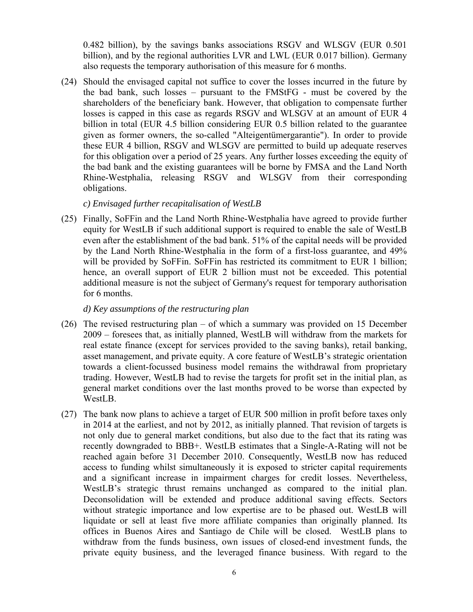0.482 billion), by the savings banks associations RSGV and WLSGV (EUR 0.501 billion), and by the regional authorities LVR and LWL (EUR 0.017 billion). Germany also requests the temporary authorisation of this measure for 6 months.

<span id="page-5-1"></span>(24) Should the envisaged capital not suffice to cover the losses incurred in the future by the bad bank, such losses – pursuant to the FMStFG - must be covered by the shareholders of the beneficiary bank. However, that obligation to compensate further losses is capped in this case as regards RSGV and WLSGV at an amount of EUR 4 billion in total (EUR 4.5 billion considering EUR 0.5 billion related to the guarantee given as former owners, the so-called "Alteigentümergarantie"). In order to provide these EUR 4 billion, RSGV and WLSGV are permitted to build up adequate reserves for this obligation over a period of 25 years. Any further losses exceeding the equity of the bad bank and the existing guarantees will be borne by FMSA and the Land North Rhine-Westphalia, releasing RSGV and WLSGV from their corresponding obligations.

*c) Envisaged further recapitalisation of WestLB* 

<span id="page-5-0"></span>(25) Finally, SoFFin and the Land North Rhine-Westphalia have agreed to provide further equity for WestLB if such additional support is required to enable the sale of WestLB even after the establishment of the bad bank. 51% of the capital needs will be provided by the Land North Rhine-Westphalia in the form of a first-loss guarantee, and 49% will be provided by SoFFin. SoFFin has restricted its commitment to EUR 1 billion; hence, an overall support of EUR 2 billion must not be exceeded. This potential additional measure is not the subject of Germany's request for temporary authorisation for 6 months.

*d) Key assumptions of the restructuring plan* 

- (26) The revised restructuring plan of which a summary was provided on 15 December 2009 – foresees that, as initially planned, WestLB will withdraw from the markets for real estate finance (except for services provided to the saving banks), retail banking, asset management, and private equity. A core feature of WestLB's strategic orientation towards a client-focussed business model remains the withdrawal from proprietary trading. However, WestLB had to revise the targets for profit set in the initial plan, as general market conditions over the last months proved to be worse than expected by WestLB.
- (27) The bank now plans to achieve a target of EUR 500 million in profit before taxes only in 2014 at the earliest, and not by 2012, as initially planned. That revision of targets is not only due to general market conditions, but also due to the fact that its rating was recently downgraded to BBB+. WestLB estimates that a Single-A-Rating will not be reached again before 31 December 2010. Consequently, WestLB now has reduced access to funding whilst simultaneously it is exposed to stricter capital requirements and a significant increase in impairment charges for credit losses. Nevertheless, WestLB's strategic thrust remains unchanged as compared to the initial plan. Deconsolidation will be extended and produce additional saving effects. Sectors without strategic importance and low expertise are to be phased out. WestLB will liquidate or sell at least five more affiliate companies than originally planned. Its offices in Buenos Aires and Santiago de Chile will be closed. WestLB plans to withdraw from the funds business, own issues of closed-end investment funds, the private equity business, and the leveraged finance business. With regard to the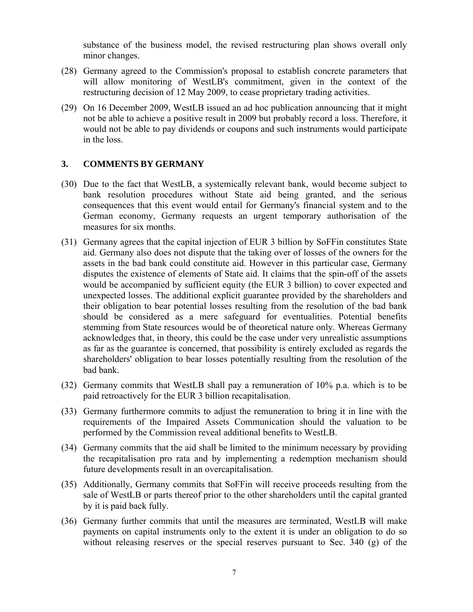substance of the business model, the revised restructuring plan shows overall only minor changes.

- (28) Germany agreed to the Commission's proposal to establish concrete parameters that will allow monitoring of WestLB's commitment, given in the context of the restructuring decision of 12 May 2009, to cease proprietary trading activities.
- (29) On 16 December 2009, WestLB issued an ad hoc publication announcing that it might not be able to achieve a positive result in 2009 but probably record a loss. Therefore, it would not be able to pay dividends or coupons and such instruments would participate in the loss.

#### **3. COMMENTS BY GERMANY**

- (30) Due to the fact that WestLB, a systemically relevant bank, would become subject to bank resolution procedures without State aid being granted, and the serious consequences that this event would entail for Germany's financial system and to the German economy, Germany requests an urgent temporary authorisation of the measures for six months.
- (31) Germany agrees that the capital injection of EUR 3 billion by SoFFin constitutes State aid. Germany also does not dispute that the taking over of losses of the owners for the assets in the bad bank could constitute aid. However in this particular case, Germany disputes the existence of elements of State aid. It claims that the spin-off of the assets would be accompanied by sufficient equity (the EUR 3 billion) to cover expected and unexpected losses. The additional explicit guarantee provided by the shareholders and their obligation to bear potential losses resulting from the resolution of the bad bank should be considered as a mere safeguard for eventualities. Potential benefits stemming from State resources would be of theoretical nature only. Whereas Germany acknowledges that, in theory, this could be the case under very unrealistic assumptions as far as the guarantee is concerned, that possibility is entirely excluded as regards the shareholders' obligation to bear losses potentially resulting from the resolution of the bad bank.
- (32) Germany commits that WestLB shall pay a remuneration of 10% p.a. which is to be paid retroactively for the EUR 3 billion recapitalisation.
- (33) Germany furthermore commits to adjust the remuneration to bring it in line with the requirements of the Impaired Assets Communication should the valuation to be performed by the Commission reveal additional benefits to WestLB.
- (34) Germany commits that the aid shall be limited to the minimum necessary by providing the recapitalisation pro rata and by implementing a redemption mechanism should future developments result in an overcapitalisation.
- (35) Additionally, Germany commits that SoFFin will receive proceeds resulting from the sale of WestLB or parts thereof prior to the other shareholders until the capital granted by it is paid back fully.
- (36) Germany further commits that until the measures are terminated, WestLB will make payments on capital instruments only to the extent it is under an obligation to do so without releasing reserves or the special reserves pursuant to Sec. 340 (g) of the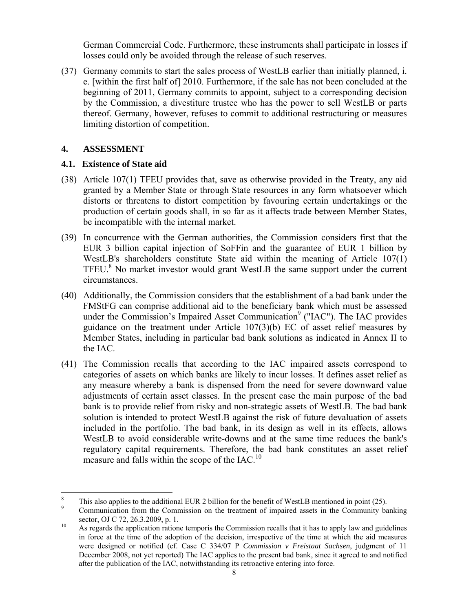German Commercial Code. Furthermore, these instruments shall participate in losses if losses could only be avoided through the release of such reserves.

(37) Germany commits to start the sales process of WestLB earlier than initially planned, i. e. [within the first half of] 2010. Furthermore, if the sale has not been concluded at the beginning of 2011, Germany commits to appoint, subject to a corresponding decision by the Commission, a divestiture trustee who has the power to sell WestLB or parts thereof. Germany, however, refuses to commit to additional restructuring or measures limiting distortion of competition.

# **4. ASSESSMENT**

 $\overline{a}$ 

### **4.1. Existence of State aid**

- (38) Article 107(1) TFEU provides that, save as otherwise provided in the Treaty, any aid granted by a Member State or through State resources in any form whatsoever which distorts or threatens to distort competition by favouring certain undertakings or the production of certain goods shall, in so far as it affects trade between Member States, be incompatible with the internal market.
- (39) In concurrence with the German authorities, the Commission considers first that the EUR 3 billion capital injection of SoFFin and the guarantee of EUR 1 billion by WestLB's shareholders constitute State aid within the meaning of Article 107(1) TFEU.<sup>8</sup> No market investor would grant WestLB the same support under the current circumstances.
- (40) Additionally, the Commission considers that the establishment of a bad bank under the FMStFG can comprise additional aid to the beneficiary bank which must be assessed under the Commission's Impaired Asset Communication<sup>9</sup> ("IAC"). The IAC provides guidance on the treatment under Article 107(3)(b) EC of asset relief measures by Member States, including in particular bad bank solutions as indicated in Annex II to the IAC.
- (41) The Commission recalls that according to the IAC impaired assets correspond to categories of assets on which banks are likely to incur losses. It defines asset relief as any measure whereby a bank is dispensed from the need for severe downward value adjustments of certain asset classes. In the present case the main purpose of the bad bank is to provide relief from risky and non-strategic assets of WestLB. The bad bank solution is intended to protect WestLB against the risk of future devaluation of assets included in the portfolio. The bad bank, in its design as well in its effects, allows WestLB to avoid considerable write-downs and at the same time reduces the bank's regulatory capital requirements. Therefore, the bad bank constitutes an asset relief measure and falls within the scope of the  $IAC<sup>10</sup>$ .

<sup>8</sup> This also applies to the additional EUR 2 billion for the benefit of WestLB mentioned in poin[t \(25\).](#page-5-0)

<sup>9</sup> Communication from the Commission on the treatment of impaired assets in the Community banking sector, OJ C 72, 26.3.2009, p. 1.<br><sup>10</sup> As regards the application ratione temporis the Commission recalls that it has to apply law and guidelines

in force at the time of the adoption of the decision, irrespective of the time at which the aid measures were designed or notified (cf. Case C 334/07 P *Commission v Freistaat Sachsen*, judgment of 11 December 2008, not yet reported) The IAC applies to the present bad bank, since it agreed to and notified after the publication of the IAC, notwithstanding its retroactive entering into force.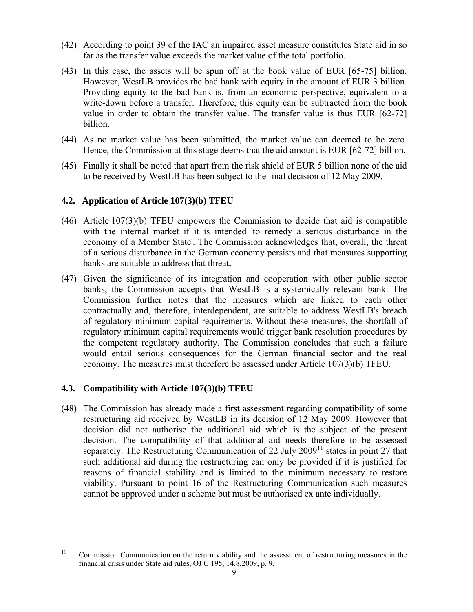- (42) According to point 39 of the IAC an impaired asset measure constitutes State aid in so far as the transfer value exceeds the market value of the total portfolio.
- (43) In this case, the assets will be spun off at the book value of EUR [65-75] billion. However, WestLB provides the bad bank with equity in the amount of EUR 3 billion. Providing equity to the bad bank is, from an economic perspective, equivalent to a write-down before a transfer. Therefore, this equity can be subtracted from the book value in order to obtain the transfer value. The transfer value is thus EUR [62-72] billion.
- (44) As no market value has been submitted, the market value can deemed to be zero. Hence, the Commission at this stage deems that the aid amount is EUR [62-72] billion.
- (45) Finally it shall be noted that apart from the risk shield of EUR 5 billion none of the aid to be received by WestLB has been subject to the final decision of 12 May 2009.

### **4.2. Application of Article 107(3)(b) TFEU**

- (46) Article 107(3)(b) TFEU empowers the Commission to decide that aid is compatible with the internal market if it is intended 'to remedy a serious disturbance in the economy of a Member State'. The Commission acknowledges that, overall, the threat of a serious disturbance in the German economy persists and that measures supporting banks are suitable to address that threat**.**
- (47) Given the significance of its integration and cooperation with other public sector banks, the Commission accepts that WestLB is a systemically relevant bank. The Commission further notes that the measures which are linked to each other contractually and, therefore, interdependent, are suitable to address WestLB's breach of regulatory minimum capital requirements. Without these measures, the shortfall of regulatory minimum capital requirements would trigger bank resolution procedures by the competent regulatory authority. The Commission concludes that such a failure would entail serious consequences for the German financial sector and the real economy. The measures must therefore be assessed under Article 107(3)(b) TFEU.

# **4.3. Compatibility with Article 107(3)(b) TFEU**

(48) The Commission has already made a first assessment regarding compatibility of some restructuring aid received by WestLB in its decision of 12 May 2009. However that decision did not authorise the additional aid which is the subject of the present decision. The compatibility of that additional aid needs therefore to be assessed separately. The Restructuring Communication of 22 July 2009<sup>11</sup> states in point 27 that such additional aid during the restructuring can only be provided if it is justified for reasons of financial stability and is limited to the minimum necessary to restore viability. Pursuant to point 16 of the Restructuring Communication such measures cannot be approved under a scheme but must be authorised ex ante individually.

 $11$ 11 Commission Communication on the return viability and the assessment of restructuring measures in the financial crisis under State aid rules, OJ C 195, 14.8.2009, p. 9.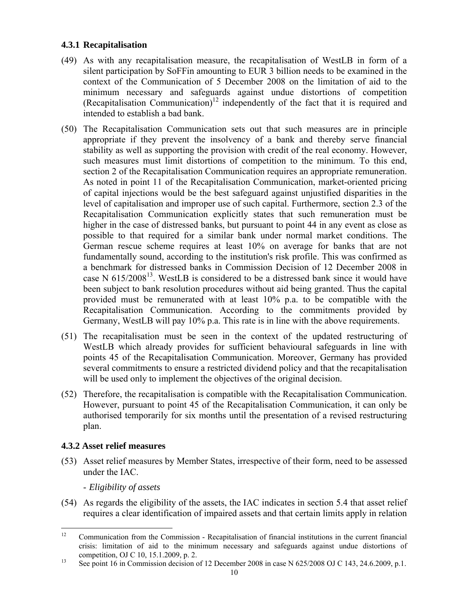# **4.3.1 Recapitalisation**

- (49) As with any recapitalisation measure, the recapitalisation of WestLB in form of a silent participation by SoFFin amounting to EUR 3 billion needs to be examined in the context of the Communication of 5 December 2008 on the limitation of aid to the minimum necessary and safeguards against undue distortions of competition (Recapitalisation Communication)<sup>12</sup> independently of the fact that it is required and intended to establish a bad bank.
- (50) The Recapitalisation Communication sets out that such measures are in principle appropriate if they prevent the insolvency of a bank and thereby serve financial stability as well as supporting the provision with credit of the real economy. However, such measures must limit distortions of competition to the minimum. To this end, section 2 of the Recapitalisation Communication requires an appropriate remuneration. As noted in point 11 of the Recapitalisation Communication, market-oriented pricing of capital injections would be the best safeguard against unjustified disparities in the level of capitalisation and improper use of such capital. Furthermore, section 2.3 of the Recapitalisation Communication explicitly states that such remuneration must be higher in the case of distressed banks, but pursuant to point 44 in any event as close as possible to that required for a similar bank under normal market conditions. The German rescue scheme requires at least 10% on average for banks that are not fundamentally sound, according to the institution's risk profile. This was confirmed as a benchmark for distressed banks in Commission Decision of 12 December 2008 in case N  $615/2008^{13}$ . WestLB is considered to be a distressed bank since it would have been subject to bank resolution procedures without aid being granted. Thus the capital provided must be remunerated with at least 10% p.a. to be compatible with the Recapitalisation Communication. According to the commitments provided by Germany, WestLB will pay 10% p.a. This rate is in line with the above requirements.
- (51) The recapitalisation must be seen in the context of the updated restructuring of WestLB which already provides for sufficient behavioural safeguards in line with points 45 of the Recapitalisation Communication. Moreover, Germany has provided several commitments to ensure a restricted dividend policy and that the recapitalisation will be used only to implement the objectives of the original decision.
- (52) Therefore, the recapitalisation is compatible with the Recapitalisation Communication. However, pursuant to point 45 of the Recapitalisation Communication, it can only be authorised temporarily for six months until the presentation of a revised restructuring plan.

# **4.3.2 Asset relief measures**

- (53) Asset relief measures by Member States, irrespective of their form, need to be assessed under the IAC.
	- *Eligibility of assets*
- (54) As regards the eligibility of the assets, the IAC indicates in section 5.4 that asset relief requires a clear identification of impaired assets and that certain limits apply in relation

 $12$ <sup>12</sup> Communication from the Commission - Recapitalisation of financial institutions in the current financial crisis: limitation of aid to the minimum necessary and safeguards against undue distortions of

competition, OJ C 10, 15.1.2009, p. 2.<br><sup>13</sup> See point 16 in Commission decision of 12 December 2008 in case N 625/2008 OJ C 143, 24.6.2009, p.1.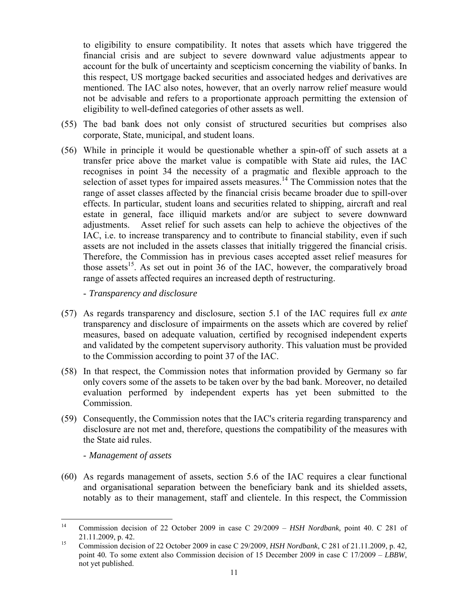to eligibility to ensure compatibility. It notes that assets which have triggered the financial crisis and are subject to severe downward value adjustments appear to account for the bulk of uncertainty and scepticism concerning the viability of banks. In this respect, US mortgage backed securities and associated hedges and derivatives are mentioned. The IAC also notes, however, that an overly narrow relief measure would not be advisable and refers to a proportionate approach permitting the extension of eligibility to well-defined categories of other assets as well.

- (55) The bad bank does not only consist of structured securities but comprises also corporate, State, municipal, and student loans.
- (56) While in principle it would be questionable whether a spin-off of such assets at a transfer price above the market value is compatible with State aid rules, the IAC recognises in point 34 the necessity of a pragmatic and flexible approach to the selection of asset types for impaired assets measures.<sup>14</sup> The Commission notes that the range of asset classes affected by the financial crisis became broader due to spill-over effects. In particular, student loans and securities related to shipping, aircraft and real estate in general, face illiquid markets and/or are subject to severe downward adjustments. Asset relief for such assets can help to achieve the objectives of the IAC, i.e. to increase transparency and to contribute to financial stability, even if such assets are not included in the assets classes that initially triggered the financial crisis. Therefore, the Commission has in previous cases accepted asset relief measures for those assets<sup>15</sup>. As set out in point 36 of the IAC, however, the comparatively broad range of assets affected requires an increased depth of restructuring.

- *Transparency and disclosure* 

- (57) As regards transparency and disclosure, section 5.1 of the IAC requires full *ex ante* transparency and disclosure of impairments on the assets which are covered by relief measures, based on adequate valuation, certified by recognised independent experts and validated by the competent supervisory authority. This valuation must be provided to the Commission according to point 37 of the IAC.
- (58) In that respect, the Commission notes that information provided by Germany so far only covers some of the assets to be taken over by the bad bank. Moreover, no detailed evaluation performed by independent experts has yet been submitted to the Commission.
- (59) Consequently, the Commission notes that the IAC's criteria regarding transparency and disclosure are not met and, therefore, questions the compatibility of the measures with the State aid rules.

- *Management of assets* 

(60) As regards management of assets, section 5.6 of the IAC requires a clear functional and organisational separation between the beneficiary bank and its shielded assets, notably as to their management, staff and clientele. In this respect, the Commission

 $14$ 14 Commission decision of 22 October 2009 in case C 29/2009 – *HSH Nordbank,* point 40. C 281 of 21.11.2009, p. 42. 15 Commission decision of 22 October 2009 in case C 29/2009, *HSH Nordbank*, C 281 of 21.11.2009, p. 42*,* 

point 40*.* To some extent also Commission decision of 15 December 2009 in case C 17/2009 – *LBBW*, not yet published.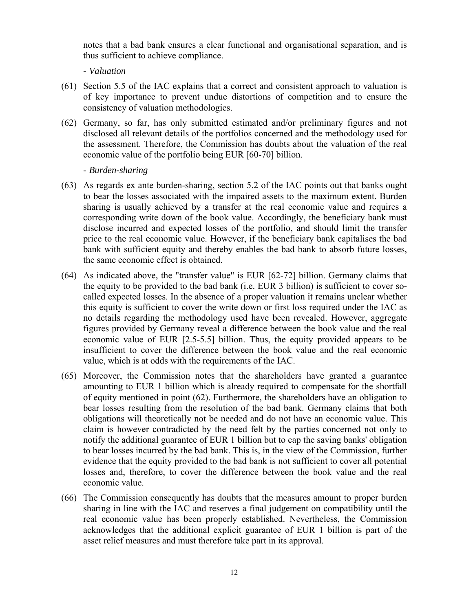notes that a bad bank ensures a clear functional and organisational separation, and is thus sufficient to achieve compliance.

- *Valuation* 

- (61) Section 5.5 of the IAC explains that a correct and consistent approach to valuation is of key importance to prevent undue distortions of competition and to ensure the consistency of valuation methodologies.
- (62) Germany, so far, has only submitted estimated and/or preliminary figures and not disclosed all relevant details of the portfolios concerned and the methodology used for the assessment. Therefore, the Commission has doubts about the valuation of the real economic value of the portfolio being EUR [60-70] billion.

### - *Burden-sharing*

- (63) As regards ex ante burden-sharing, section 5.2 of the IAC points out that banks ought to bear the losses associated with the impaired assets to the maximum extent. Burden sharing is usually achieved by a transfer at the real economic value and requires a corresponding write down of the book value. Accordingly, the beneficiary bank must disclose incurred and expected losses of the portfolio, and should limit the transfer price to the real economic value. However, if the beneficiary bank capitalises the bad bank with sufficient equity and thereby enables the bad bank to absorb future losses, the same economic effect is obtained.
- (64) As indicated above, the "transfer value" is EUR [62-72] billion. Germany claims that the equity to be provided to the bad bank (i.e. EUR 3 billion) is sufficient to cover socalled expected losses. In the absence of a proper valuation it remains unclear whether this equity is sufficient to cover the write down or first loss required under the IAC as no details regarding the methodology used have been revealed. However, aggregate figures provided by Germany reveal a difference between the book value and the real economic value of EUR [2.5-5.5] billion. Thus, the equity provided appears to be insufficient to cover the difference between the book value and the real economic value, which is at odds with the requirements of the IAC.
- (65) Moreover, the Commission notes that the shareholders have granted a guarantee amounting to EUR 1 billion which is already required to compensate for the shortfall of equity mentioned in point (62). Furthermore, the shareholders have an obligation to bear losses resulting from the resolution of the bad bank. Germany claims that both obligations will theoretically not be needed and do not have an economic value. This claim is however contradicted by the need felt by the parties concerned not only to notify the additional guarantee of EUR 1 billion but to cap the saving banks' obligation to bear losses incurred by the bad bank. This is, in the view of the Commission, further evidence that the equity provided to the bad bank is not sufficient to cover all potential losses and, therefore, to cover the difference between the book value and the real economic value.
- (66) The Commission consequently has doubts that the measures amount to proper burden sharing in line with the IAC and reserves a final judgement on compatibility until the real economic value has been properly established. Nevertheless, the Commission acknowledges that the additional explicit guarantee of EUR 1 billion is part of the asset relief measures and must therefore take part in its approval.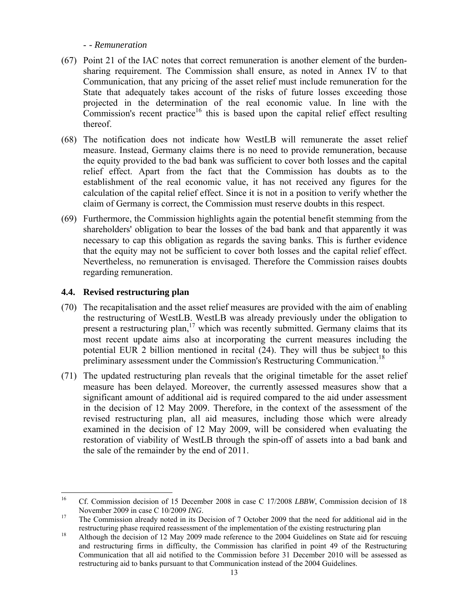- *- Remuneration* 

- (67) Point 21 of the IAC notes that correct remuneration is another element of the burdensharing requirement. The Commission shall ensure, as noted in Annex IV to that Communication, that any pricing of the asset relief must include remuneration for the State that adequately takes account of the risks of future losses exceeding those projected in the determination of the real economic value. In line with the  $Commission's recent practice<sup>16</sup> this is based upon the capital relief effect resulting$ thereof.
- (68) The notification does not indicate how WestLB will remunerate the asset relief measure. Instead, Germany claims there is no need to provide remuneration, because the equity provided to the bad bank was sufficient to cover both losses and the capital relief effect. Apart from the fact that the Commission has doubts as to the establishment of the real economic value, it has not received any figures for the calculation of the capital relief effect. Since it is not in a position to verify whether the claim of Germany is correct, the Commission must reserve doubts in this respect.
- (69) Furthermore, the Commission highlights again the potential benefit stemming from the shareholders' obligation to bear the losses of the bad bank and that apparently it was necessary to cap this obligation as regards the saving banks. This is further evidence that the equity may not be sufficient to cover both losses and the capital relief effect. Nevertheless, no remuneration is envisaged. Therefore the Commission raises doubts regarding remuneration.

# **4.4. Revised restructuring plan**

 $\overline{a}$ 

- (70) The recapitalisation and the asset relief measures are provided with the aim of enabling the restructuring of WestLB. WestLB was already previously under the obligation to present a restructuring plan, $17$  which was recently submitted. Germany claims that its most recent update aims also at incorporating the current measures including the potential EUR 2 billion mentioned in recital [\(24\).](#page-5-1) They will thus be subject to this preliminary assessment under the Commission's Restructuring Communication.<sup>18</sup>
- (71) The updated restructuring plan reveals that the original timetable for the asset relief measure has been delayed. Moreover, the currently assessed measures show that a significant amount of additional aid is required compared to the aid under assessment in the decision of 12 May 2009. Therefore, in the context of the assessment of the revised restructuring plan, all aid measures, including those which were already examined in the decision of 12 May 2009, will be considered when evaluating the restoration of viability of WestLB through the spin-off of assets into a bad bank and the sale of the remainder by the end of 2011.

<sup>&</sup>lt;sup>16</sup> Cf. Commission decision of 15 December 2008 in case C 17/2008 *LBBW*, Commission decision of 18 November 2009 in case C 10/2009 *ING*.<br><sup>17</sup> The Commission already noted in its Decision of 7 October 2009 that the need for additional aid in the

restructuring phase required reassessment of the implementation of the existing restructuring plan 18 Although the decision of 12 May 2009 made reference to the 2004 Guidelines on State aid for rescuing

and restructuring firms in difficulty, the Commission has clarified in point 49 of the Restructuring Communication that all aid notified to the Commission before 31 December 2010 will be assessed as restructuring aid to banks pursuant to that Communication instead of the 2004 Guidelines.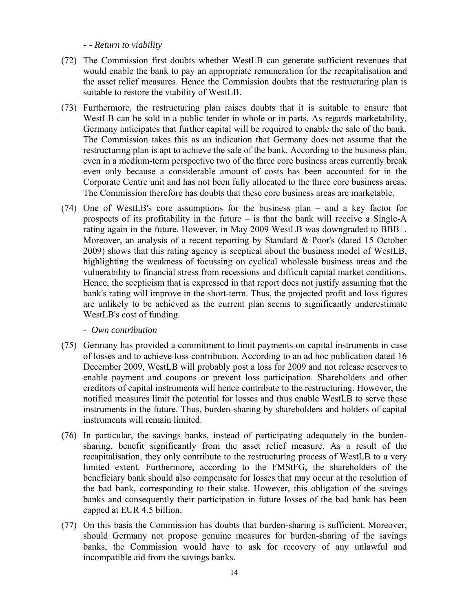- *- Return to viability* 

- (72) The Commission first doubts whether WestLB can generate sufficient revenues that would enable the bank to pay an appropriate remuneration for the recapitalisation and the asset relief measures. Hence the Commission doubts that the restructuring plan is suitable to restore the viability of WestLB.
- (73) Furthermore, the restructuring plan raises doubts that it is suitable to ensure that WestLB can be sold in a public tender in whole or in parts. As regards marketability, Germany anticipates that further capital will be required to enable the sale of the bank. The Commission takes this as an indication that Germany does not assume that the restructuring plan is apt to achieve the sale of the bank. According to the business plan, even in a medium-term perspective two of the three core business areas currently break even only because a considerable amount of costs has been accounted for in the Corporate Centre unit and has not been fully allocated to the three core business areas. The Commission therefore has doubts that these core business areas are marketable.
- (74) One of WestLB's core assumptions for the business plan and a key factor for prospects of its profitability in the future – is that the bank will receive a Single-A rating again in the future. However, in May 2009 WestLB was downgraded to BBB+. Moreover, an analysis of a recent reporting by Standard & Poor's (dated 15 October 2009) shows that this rating agency is sceptical about the business model of WestLB, highlighting the weakness of focussing on cyclical wholesale business areas and the vulnerability to financial stress from recessions and difficult capital market conditions. Hence, the scepticism that is expressed in that report does not justify assuming that the bank's rating will improve in the short-term. Thus, the projected profit and loss figures are unlikely to be achieved as the current plan seems to significantly underestimate WestLB's cost of funding.
	- - *Own contribution*
- (75) Germany has provided a commitment to limit payments on capital instruments in case of losses and to achieve loss contribution. According to an ad hoc publication dated 16 December 2009, WestLB will probably post a loss for 2009 and not release reserves to enable payment and coupons or prevent loss participation. Shareholders and other creditors of capital instruments will hence contribute to the restructuring. However, the notified measures limit the potential for losses and thus enable WestLB to serve these instruments in the future. Thus, burden-sharing by shareholders and holders of capital instruments will remain limited.
- (76) In particular, the savings banks, instead of participating adequately in the burdensharing, benefit significantly from the asset relief measure. As a result of the recapitalisation, they only contribute to the restructuring process of WestLB to a very limited extent. Furthermore, according to the FMStFG, the shareholders of the beneficiary bank should also compensate for losses that may occur at the resolution of the bad bank, corresponding to their stake. However, this obligation of the savings banks and consequently their participation in future losses of the bad bank has been capped at EUR 4.5 billion.
- (77) On this basis the Commission has doubts that burden-sharing is sufficient. Moreover, should Germany not propose genuine measures for burden-sharing of the savings banks, the Commission would have to ask for recovery of any unlawful and incompatible aid from the savings banks.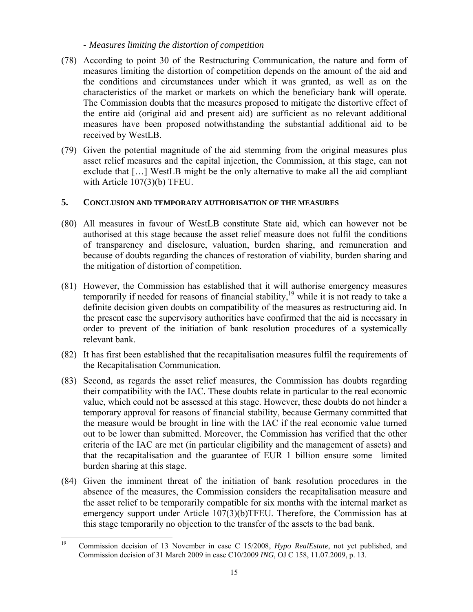#### - *Measures limiting the distortion of competition*

- (78) According to point 30 of the Restructuring Communication, the nature and form of measures limiting the distortion of competition depends on the amount of the aid and the conditions and circumstances under which it was granted, as well as on the characteristics of the market or markets on which the beneficiary bank will operate. The Commission doubts that the measures proposed to mitigate the distortive effect of the entire aid (original aid and present aid) are sufficient as no relevant additional measures have been proposed notwithstanding the substantial additional aid to be received by WestLB.
- (79) Given the potential magnitude of the aid stemming from the original measures plus asset relief measures and the capital injection, the Commission, at this stage, can not exclude that […] WestLB might be the only alternative to make all the aid compliant with Article 107(3)(b) TFEU.

### **5. CONCLUSION AND TEMPORARY AUTHORISATION OF THE MEASURES**

- (80) All measures in favour of WestLB constitute State aid, which can however not be authorised at this stage because the asset relief measure does not fulfil the conditions of transparency and disclosure, valuation, burden sharing, and remuneration and because of doubts regarding the chances of restoration of viability, burden sharing and the mitigation of distortion of competition.
- (81) However, the Commission has established that it will authorise emergency measures temporarily if needed for reasons of financial stability,<sup>19</sup> while it is not ready to take a definite decision given doubts on compatibility of the measures as restructuring aid. In the present case the supervisory authorities have confirmed that the aid is necessary in order to prevent of the initiation of bank resolution procedures of a systemically relevant bank.
- (82) It has first been established that the recapitalisation measures fulfil the requirements of the Recapitalisation Communication.
- (83) Second, as regards the asset relief measures, the Commission has doubts regarding their compatibility with the IAC. These doubts relate in particular to the real economic value, which could not be assessed at this stage. However, these doubts do not hinder a temporary approval for reasons of financial stability, because Germany committed that the measure would be brought in line with the IAC if the real economic value turned out to be lower than submitted. Moreover, the Commission has verified that the other criteria of the IAC are met (in particular eligibility and the management of assets) and that the recapitalisation and the guarantee of EUR 1 billion ensure some limited burden sharing at this stage.
- (84) Given the imminent threat of the initiation of bank resolution procedures in the absence of the measures, the Commission considers the recapitalisation measure and the asset relief to be temporarily compatible for six months with the internal market as emergency support under Article 107(3)(b)TFEU. Therefore, the Commission has at this stage temporarily no objection to the transfer of the assets to the bad bank.

 $19$ 19 Commission decision of 13 November in case C 15/2008, *Hypo RealEstate*, not yet published, and Commission decision of 31 March 2009 in case C10/2009 *ING,* OJ C 158, 11.07.2009, p. 13.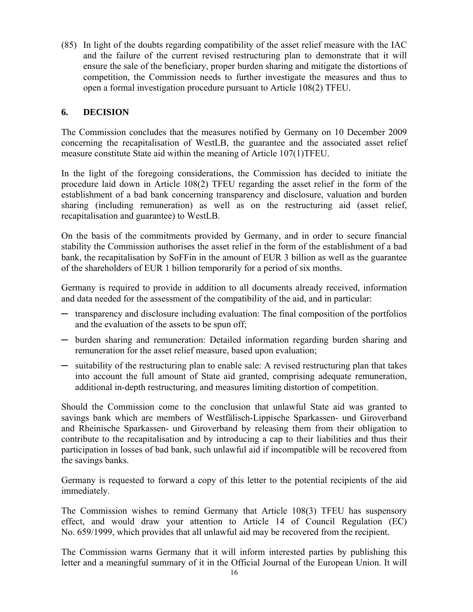(85) In light of the doubts regarding compatibility of the asset relief measure with the IAC and the failure of the current revised restructuring plan to demonstrate that it will ensure the sale of the beneficiary, proper burden sharing and mitigate the distortions of competition, the Commission needs to further investigate the measures and thus to open a formal investigation procedure pursuant to Article 108(2) TFEU.

## **6. DECISION**

The Commission concludes that the measures notified by Germany on 10 December 2009 concerning the recapitalisation of WestLB, the guarantee and the associated asset relief measure constitute State aid within the meaning of Article 107(1)TFEU.

In the light of the foregoing considerations, the Commission has decided to initiate the procedure laid down in Article 108(2) TFEU regarding the asset relief in the form of the establishment of a bad bank concerning transparency and disclosure, valuation and burden sharing (including remuneration) as well as on the restructuring aid (asset relief, recapitalisation and guarantee) to WestLB.

On the basis of the commitments provided by Germany, and in order to secure financial stability the Commission authorises the asset relief in the form of the establishment of a bad bank, the recapitalisation by SoFFin in the amount of EUR 3 billion as well as the guarantee of the shareholders of EUR 1 billion temporarily for a period of six months.

Germany is required to provide in addition to all documents already received, information and data needed for the assessment of the compatibility of the aid, and in particular:

- ─ transparency and disclosure including evaluation: The final composition of the portfolios and the evaluation of the assets to be spun off;
- ─ burden sharing and remuneration: Detailed information regarding burden sharing and remuneration for the asset relief measure, based upon evaluation;
- ─ suitability of the restructuring plan to enable sale: A revised restructuring plan that takes into account the full amount of State aid granted, comprising adequate remuneration, additional in-depth restructuring, and measures limiting distortion of competition.

Should the Commission come to the conclusion that unlawful State aid was granted to savings bank which are members of Westfälisch-Lippische Sparkassen- und Giroverband and Rheinische Sparkassen- und Giroverband by releasing them from their obligation to contribute to the recapitalisation and by introducing a cap to their liabilities and thus their participation in losses of bad bank, such unlawful aid if incompatible will be recovered from the savings banks.

Germany is requested to forward a copy of this letter to the potential recipients of the aid immediately.

The Commission wishes to remind Germany that Article 108(3) TFEU has suspensory effect, and would draw your attention to Article 14 of Council Regulation (EC) No. 659/1999, which provides that all unlawful aid may be recovered from the recipient.

The Commission warns Germany that it will inform interested parties by publishing this letter and a meaningful summary of it in the Official Journal of the European Union. It will